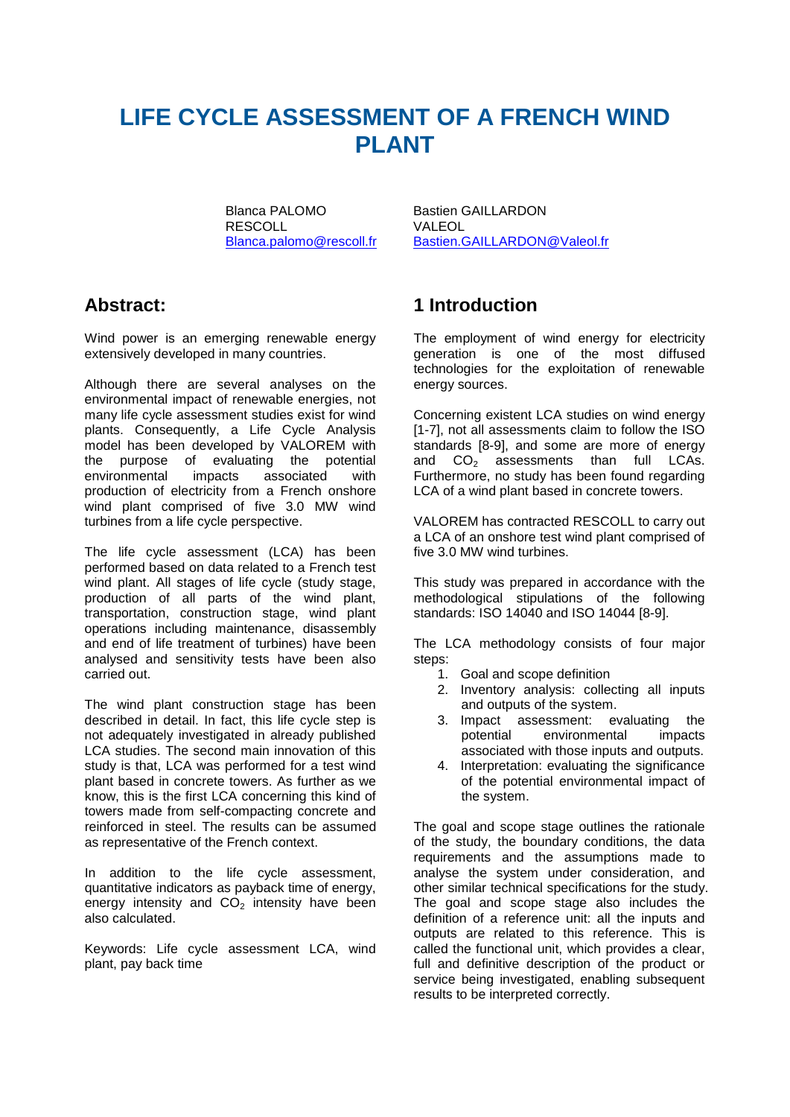# **LIFE CYCLE ASSESSMENT OF A FRENCH WIND PLANT**

Blanca PALOMO Bastien GAILLARDON<br>RESCOLL BASICAL VALEOL RESCOLL<br>Blanca.palomo@rescoll.fr

[Bastien.GAILLARDON@Valeol.fr](mailto:Bastien.GAILLARDON@Valeol.fr)

### **Abstract:**

Wind power is an emerging renewable energy extensively developed in many countries.

Although there are several analyses on the environmental impact of renewable energies, not many life cycle assessment studies exist for wind plants. Consequently, a Life Cycle Analysis model has been developed by VALOREM with the purpose of evaluating the potential<br>environmental impacts associated with environmental impacts associated with production of electricity from a French onshore wind plant comprised of five 3.0 MW wind turbines from a life cycle perspective.

The life cycle assessment (LCA) has been performed based on data related to a French test wind plant. All stages of life cycle (study stage, production of all parts of the wind plant, transportation, construction stage, wind plant operations including maintenance, disassembly and end of life treatment of turbines) have been analysed and sensitivity tests have been also carried out.

The wind plant construction stage has been described in detail. In fact, this life cycle step is not adequately investigated in already published LCA studies. The second main innovation of this study is that, LCA was performed for a test wind plant based in concrete towers. As further as we know, this is the first LCA concerning this kind of towers made from self-compacting concrete and reinforced in steel. The results can be assumed as representative of the French context.

In addition to the life cycle assessment, quantitative indicators as payback time of energy, energy intensity and  $CO<sub>2</sub>$  intensity have been also calculated.

Keywords: Life cycle assessment LCA, wind plant, pay back time

### **1 Introduction**

The employment of wind energy for electricity generation is one of the most diffused technologies for the exploitation of renewable energy sources.

Concerning existent LCA studies on wind energy [1-7], not all assessments claim to follow the ISO standards [8-9], and some are more of energy and  $CO<sub>2</sub>$  assessments than full LCAs. Furthermore, no study has been found regarding LCA of a wind plant based in concrete towers.

VALOREM has contracted RESCOLL to carry out a LCA of an onshore test wind plant comprised of five 3.0 MW wind turbines.

This study was prepared in accordance with the methodological stipulations of the following standards: ISO 14040 and ISO 14044 [8-9].

The LCA methodology consists of four major steps:

- 1. Goal and scope definition
- 2. Inventory analysis: collecting all inputs and outputs of the system.
- 3. Impact assessment: evaluating the<br>potential environmental impacts environmental associated with those inputs and outputs.
- 4. Interpretation: evaluating the significance of the potential environmental impact of the system.

The goal and scope stage outlines the rationale of the study, the boundary conditions, the data requirements and the assumptions made to analyse the system under consideration, and other similar technical specifications for the study. The goal and scope stage also includes the definition of a reference unit: all the inputs and outputs are related to this reference. This is called the functional unit, which provides a clear, full and definitive description of the product or service being investigated, enabling subsequent results to be interpreted correctly.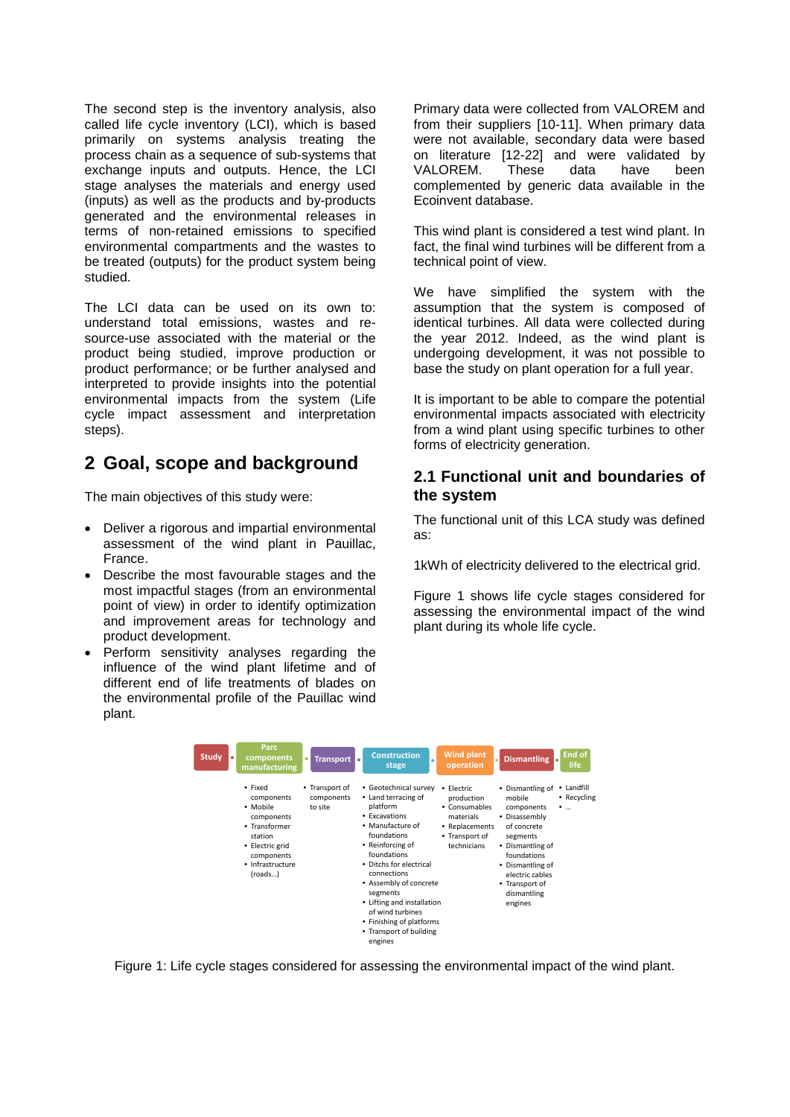The second step is the inventory analysis, also called life cycle inventory (LCI), which is based primarily on systems analysis treating the process chain as a sequence of sub-systems that exchange inputs and outputs. Hence, the LCI stage analyses the materials and energy used (inputs) as well as the products and by-products generated and the environmental releases in terms of non-retained emissions to specified environmental compartments and the wastes to be treated (outputs) for the product system being studied.

The LCI data can be used on its own to: understand total emissions, wastes and resource-use associated with the material or the product being studied, improve production or product performance; or be further analysed and interpreted to provide insights into the potential environmental impacts from the system (Life cycle impact assessment and interpretation steps).

# **2 Goal, scope and background**

The main objectives of this study were:

- Deliver a rigorous and impartial environmental assessment of the wind plant in Pauillac, France.
- Describe the most favourable stages and the most impactful stages (from an environmental point of view) in order to identify optimization and improvement areas for technology and product development.
- Perform sensitivity analyses regarding the influence of the wind plant lifetime and of different end of life treatments of blades on the environmental profile of the Pauillac wind plant.

Primary data were collected from VALOREM and from their suppliers [10-11]. When primary data were not available, secondary data were based on literature [12-22] and were validated by VALOREM. These data have been complemented by generic data available in the Ecoinvent database.

This wind plant is considered a test wind plant. In fact, the final wind turbines will be different from a technical point of view.

We have simplified the system with the assumption that the system is composed of identical turbines. All data were collected during the year 2012. Indeed, as the wind plant is undergoing development, it was not possible to base the study on plant operation for a full year.

It is important to be able to compare the potential environmental impacts associated with electricity from a wind plant using specific turbines to other forms of electricity generation.

#### **2.1 Functional unit and boundaries of the system**

The functional unit of this LCA study was defined as:

1kWh of electricity delivered to the electrical grid.

Figure 1 shows life cycle stages considered for assessing the environmental impact of the wind plant during its whole life cycle.



Figure 1: Life cycle stages considered for assessing the environmental impact of the wind plant.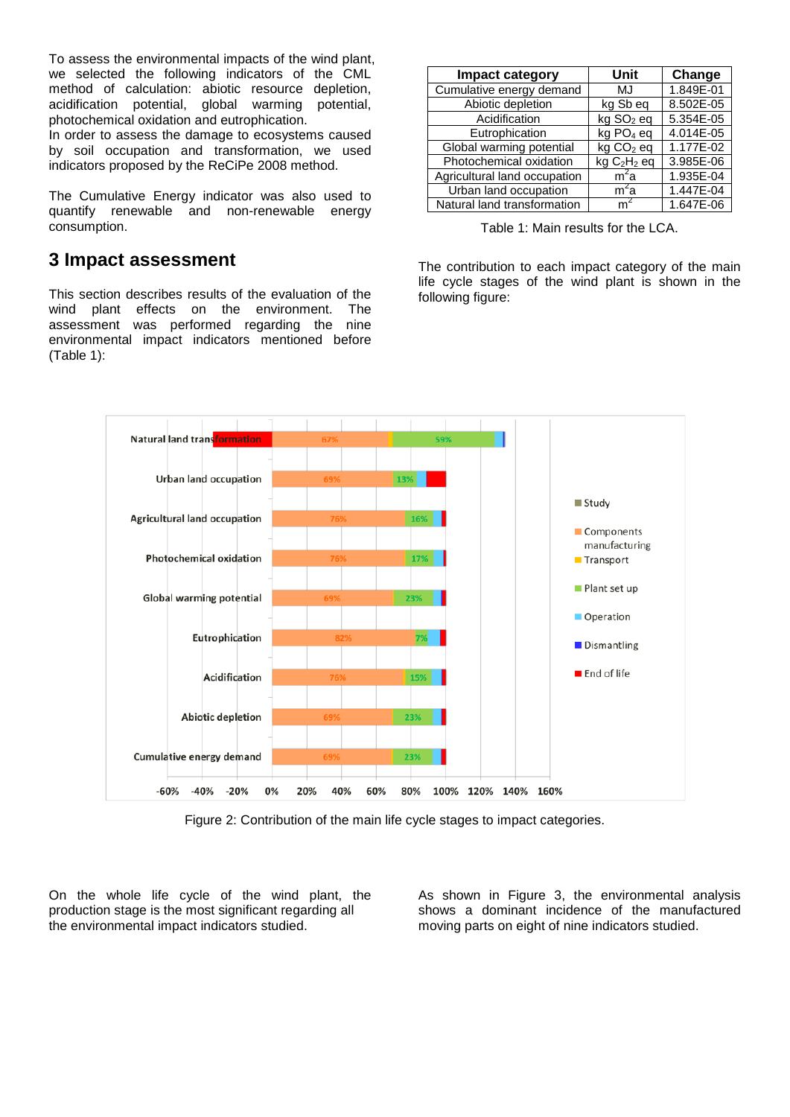To assess the environmental impacts of the wind plant, we selected the following indicators of the CML method of calculation: abiotic resource depletion, acidification potential, global warming potential, photochemical oxidation and eutrophication.

In order to assess the damage to ecosystems caused by soil occupation and transformation, we used indicators proposed by the ReCiPe 2008 method.

The Cumulative Energy indicator was also used to quantify renewable and non-renewable energy consumption.

#### **3 Impact assessment**

This section describes results of the evaluation of the wind plant effects on the environment. The assessment was performed regarding the nine environmental impact indicators mentioned before [\(Table 1\)](#page-2-0):

| Impact category              | Unit                                | Change    |  |
|------------------------------|-------------------------------------|-----------|--|
| Cumulative energy demand     | MJ                                  | 1.849E-01 |  |
| Abiotic depletion            | kg Sb eq                            | 8.502E-05 |  |
| Acidification                | kg SO <sub>2</sub> eq               | 5.354E-05 |  |
| Eutrophication               | kg PO <sub>4</sub> eq               | 4.014E-05 |  |
| Global warming potential     | kg CO <sub>2</sub> eq               | 1.177E-02 |  |
| Photochemical oxidation      | kg C <sub>2</sub> H <sub>2</sub> eq | 3.985E-06 |  |
| Agricultural land occupation | $m^2a$                              | 1.935E-04 |  |
| Urban land occupation        | m <sup>2</sup> a                    | 1.447E-04 |  |
| Natural land transformation  |                                     | 1.647E-06 |  |

Table 1: Main results for the LCA.

<span id="page-2-0"></span>The contribution to each impact category of the main life cycle stages of the wind plant is shown in the following figure:



Figure 2: Contribution of the main life cycle stages to impact categories.

<span id="page-2-1"></span>On the whole life cycle of the wind plant, the production stage is the most significant regarding all the environmental impact indicators studied.

As shown in [Figure 3,](#page-3-0) the environmental analysis shows a dominant incidence of the manufactured moving parts on eight of nine indicators studied.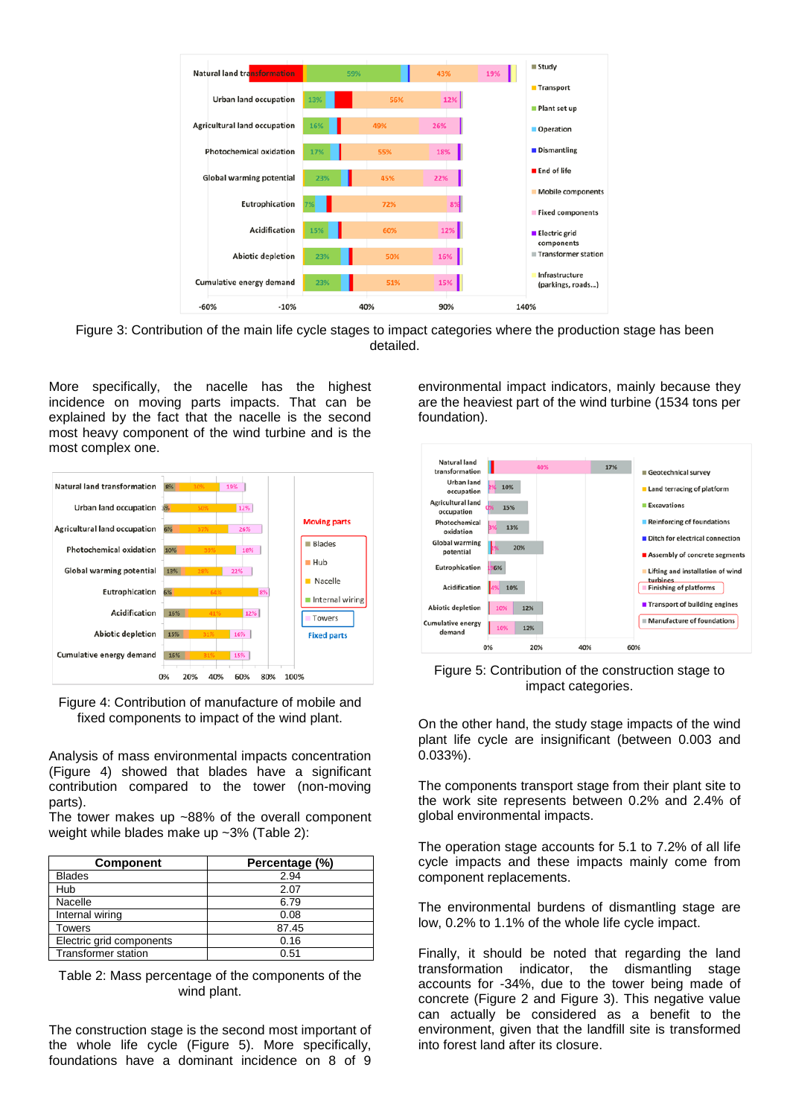

<span id="page-3-0"></span>Figure 3: Contribution of the main life cycle stages to impact categories where the production stage has been detailed.

More specifically, the nacelle has the highest incidence on moving parts impacts. That can be explained by the fact that the nacelle is the second most heavy component of the wind turbine and is the most complex one.



<span id="page-3-1"></span>Figure 4: Contribution of manufacture of mobile and fixed components to impact of the wind plant.

Analysis of mass environmental impacts concentration [\(Figure 4\)](#page-3-1) showed that blades have a significant contribution compared to the tower (non-moving parts).

The tower makes up ~88% of the overall component weight while blades make up ~3% [\(Table 2\)](#page-3-2):

| <b>Component</b>           | Percentage (%) |
|----------------------------|----------------|
| <b>Blades</b>              | 2.94           |
| Hub                        | 2.07           |
| Nacelle                    | 6.79           |
| Internal wiring            | 0.08           |
| Towers                     | 87.45          |
| Electric grid components   | 0.16           |
| <b>Transformer station</b> | 0.51           |

<span id="page-3-2"></span>Table 2: Mass percentage of the components of the wind plant.

The construction stage is the second most important of the whole life cycle [\(Figure 5\)](#page-3-3). More specifically, foundations have a dominant incidence on 8 of 9

environmental impact indicators, mainly because they are the heaviest part of the wind turbine (1534 tons per foundation).



<span id="page-3-3"></span>

On the other hand, the study stage impacts of the wind plant life cycle are insignificant (between 0.003 and 0.033%).

The components transport stage from their plant site to the work site represents between 0.2% and 2.4% of global environmental impacts.

The operation stage accounts for 5.1 to 7.2% of all life cycle impacts and these impacts mainly come from component replacements.

The environmental burdens of dismantling stage are low, 0.2% to 1.1% of the whole life cycle impact.

Finally, it should be noted that regarding the land transformation indicator, the dismantling stage accounts for -34%, due to the tower being made of concrete [\(Figure 2](#page-2-1) and [Figure 3\)](#page-3-0). This negative value can actually be considered as a benefit to the environment, given that the landfill site is transformed into forest land after its closure.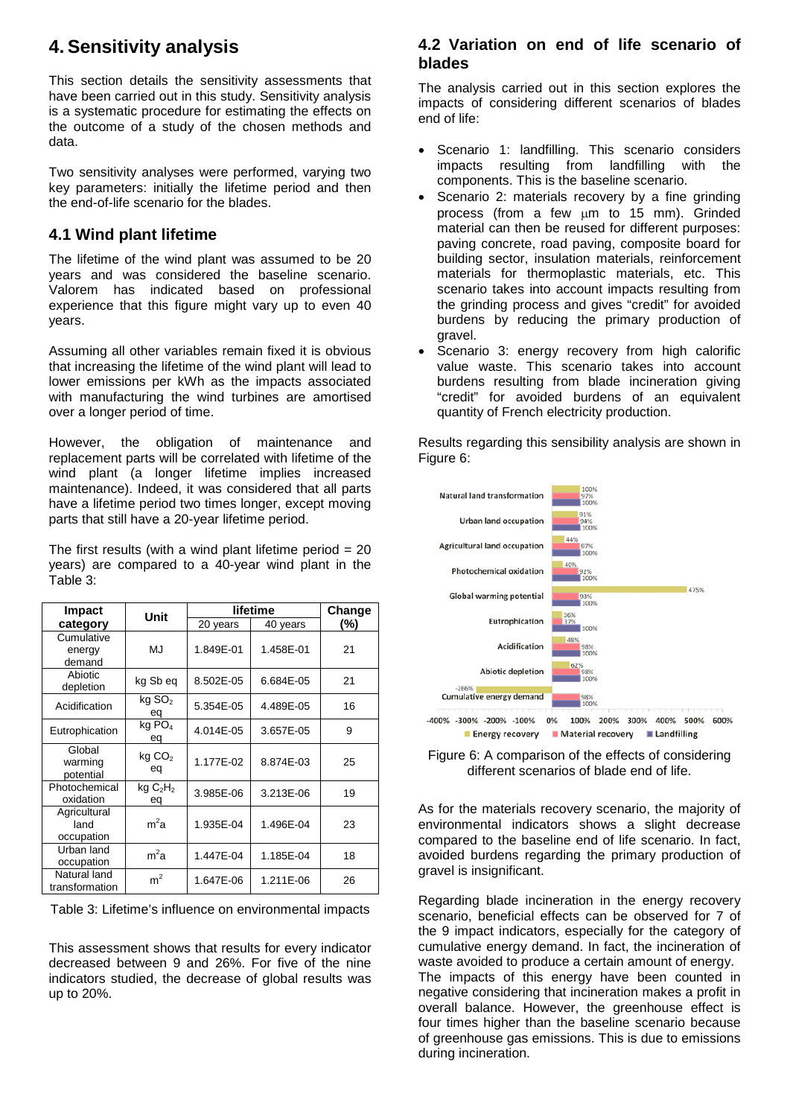### **4. Sensitivity analysis**

This section details the sensitivity assessments that have been carried out in this study. Sensitivity analysis is a systematic procedure for estimating the effects on the outcome of a study of the chosen methods and data.

Two sensitivity analyses were performed, varying two key parameters: initially the lifetime period and then the end-of-life scenario for the blades.

#### **4.1 Wind plant lifetime**

The lifetime of the wind plant was assumed to be 20 years and was considered the baseline scenario. Valorem has indicated based on professional experience that this figure might vary up to even 40 years.

Assuming all other variables remain fixed it is obvious that increasing the lifetime of the wind plant will lead to lower emissions per kWh as the impacts associated with manufacturing the wind turbines are amortised over a longer period of time.

However, the obligation of maintenance and replacement parts will be correlated with lifetime of the wind plant (a longer lifetime implies increased maintenance). Indeed, it was considered that all parts have a lifetime period two times longer, except moving parts that still have a 20-year lifetime period.

The first results (with a wind plant lifetime period  $= 20$ years) are compared to a 40-year wind plant in the [Table 3:](#page-4-0)

| Impact                             | Unit                                  | lifetime  |           | Change |
|------------------------------------|---------------------------------------|-----------|-----------|--------|
| category                           |                                       | 20 years  | 40 years  | (%)    |
| Cumulative<br>energy<br>demand     | MJ                                    | 1.849E-01 | 1.458E-01 | 21     |
| Abiotic<br>depletion               | kg Sb eq                              | 8.502E-05 | 6.684E-05 | 21     |
| Acidification                      | $kg$ SO <sub>2</sub><br>eq            | 5.354E-05 | 4.489E-05 | 16     |
| Eutrophication                     | $\overline{kg}$ PO <sub>4</sub><br>eq | 4.014E-05 | 3.657E-05 | 9      |
| Global<br>warming<br>potential     | kg CO <sub>2</sub><br>eq              | 1.177E-02 | 8.874E-03 | 25     |
| Photochemical<br>oxidation         | kgC <sub>2</sub> H <sub>2</sub><br>eq | 3.985E-06 | 3.213E-06 | 19     |
| Agricultural<br>land<br>occupation | $m^2a$                                | 1.935E-04 | 1.496E-04 | 23     |
| Urban land<br>occupation           | $m^2a$                                | 1.447E-04 | 1.185E-04 | 18     |
| Natural land<br>transformation     | m <sup>2</sup>                        | 1.647E-06 | 1.211E-06 | 26     |

<span id="page-4-0"></span>Table 3: Lifetime's influence on environmental impacts

This assessment shows that results for every indicator decreased between 9 and 26%. For five of the nine indicators studied, the decrease of global results was up to 20%.

#### **4.2 Variation on end of life scenario of blades**

The analysis carried out in this section explores the impacts of considering different scenarios of blades end of life:

- Scenario 1: landfilling. This scenario considers impacts resulting from landfilling with the components. This is the baseline scenario.
- Scenario 2: materials recovery by a fine grinding process (from a few µm to 15 mm). Grinded material can then be reused for different purposes: paving concrete, road paving, composite board for building sector, insulation materials, reinforcement materials for thermoplastic materials, etc. This scenario takes into account impacts resulting from the grinding process and gives "credit" for avoided burdens by reducing the primary production of gravel.
- Scenario 3: energy recovery from high calorific value waste. This scenario takes into account burdens resulting from blade incineration giving "credit" for avoided burdens of an equivalent quantity of French electricity production.

Results regarding this sensibility analysis are shown in [Figure 6:](#page-4-1)



<span id="page-4-1"></span>Figure 6: A comparison of the effects of considering different scenarios of blade end of life.

As for the materials recovery scenario, the majority of environmental indicators shows a slight decrease compared to the baseline end of life scenario. In fact, avoided burdens regarding the primary production of gravel is insignificant.

Regarding blade incineration in the energy recovery scenario, beneficial effects can be observed for 7 of the 9 impact indicators, especially for the category of cumulative energy demand. In fact, the incineration of waste avoided to produce a certain amount of energy. The impacts of this energy have been counted in negative considering that incineration makes a profit in overall balance. However, the greenhouse effect is four times higher than the baseline scenario because of greenhouse gas emissions. This is due to emissions during incineration.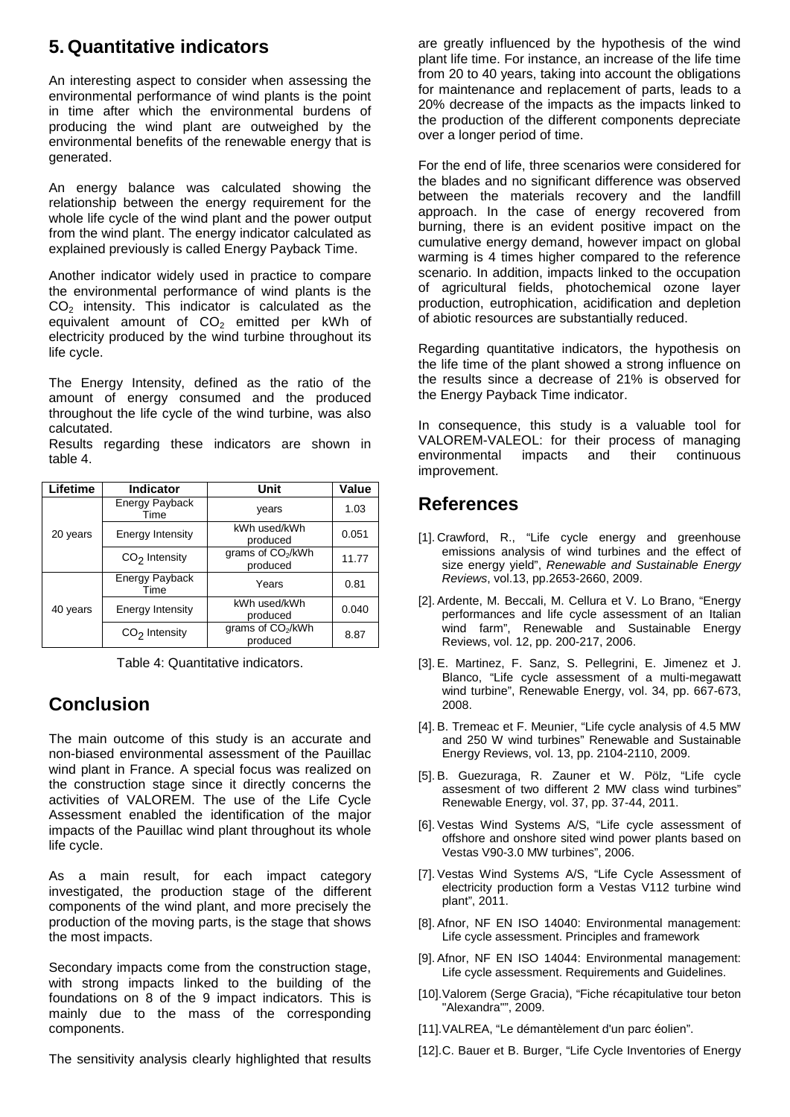# **5. Quantitative indicators**

An interesting aspect to consider when assessing the environmental performance of wind plants is the point in time after which the environmental burdens of producing the wind plant are outweighed by the environmental benefits of the renewable energy that is generated.

An energy balance was calculated showing the relationship between the energy requirement for the whole life cycle of the wind plant and the power output from the wind plant. The energy indicator calculated as explained previously is called Energy Payback Time.

Another indicator widely used in practice to compare the environmental performance of wind plants is the  $CO<sub>2</sub>$  intensity. This indicator is calculated as the equivalent amount of  $CO<sub>2</sub>$  emitted per kWh of electricity produced by the wind turbine throughout its life cycle.

The Energy Intensity, defined as the ratio of the amount of energy consumed and the produced throughout the life cycle of the wind turbine, was also calcutated.

Results regarding these indicators are shown in table 4.

| Lifetime | <b>Indicator</b>       | Unit                                      | Value |
|----------|------------------------|-------------------------------------------|-------|
| 20 years | Energy Payback<br>Time | years                                     | 1.03  |
|          | Energy Intensity       | kWh used/kWh<br>produced                  | 0.051 |
|          | $CO2$ Intensity        | grams of CO <sub>2</sub> /kWh<br>produced | 11.77 |
| 40 years | Energy Payback<br>Time | Years                                     | 0.81  |
|          | Energy Intensity       | kWh used/kWh<br>produced                  | 0.040 |
|          | $CO2$ Intensity        | grams of CO <sub>2</sub> /kWh<br>produced | 8.87  |

Table 4: Quantitative indicators.

# **Conclusion**

The main outcome of this study is an accurate and non-biased environmental assessment of the Pauillac wind plant in France. A special focus was realized on the construction stage since it directly concerns the activities of VALOREM. The use of the Life Cycle Assessment enabled the identification of the major impacts of the Pauillac wind plant throughout its whole life cycle.

As a main result, for each impact category investigated, the production stage of the different components of the wind plant, and more precisely the production of the moving parts, is the stage that shows the most impacts.

Secondary impacts come from the construction stage, with strong impacts linked to the building of the foundations on 8 of the 9 impact indicators. This is mainly due to the mass of the corresponding components.

The sensitivity analysis clearly highlighted that results

are greatly influenced by the hypothesis of the wind plant life time. For instance, an increase of the life time from 20 to 40 years, taking into account the obligations for maintenance and replacement of parts, leads to a 20% decrease of the impacts as the impacts linked to the production of the different components depreciate over a longer period of time.

For the end of life, three scenarios were considered for the blades and no significant difference was observed between the materials recovery and the landfill approach. In the case of energy recovered from burning, there is an evident positive impact on the cumulative energy demand, however impact on global warming is 4 times higher compared to the reference scenario. In addition, impacts linked to the occupation of agricultural fields, photochemical ozone layer production, eutrophication, acidification and depletion of abiotic resources are substantially reduced.

Regarding quantitative indicators, the hypothesis on the life time of the plant showed a strong influence on the results since a decrease of 21% is observed for the Energy Payback Time indicator.

In consequence, this study is a valuable tool for VALOREM-VALEOL: for their process of managing environmental impacts and their continuous improvement.

#### **References**

- [1]. Crawford, R., "Life cycle energy and greenhouse emissions analysis of wind turbines and the effect of size energy yield", *Renewable and Sustainable Energy Reviews*, vol.13, pp.2653-2660, 2009.
- [2]. Ardente, M. Beccali, M. Cellura et V. Lo Brano, "Energy performances and life cycle assessment of an Italian wind farm", Renewable and Sustainable Energy Reviews, vol. 12, pp. 200-217, 2006.
- [3]. E. Martinez, F. Sanz, S. Pellegrini, E. Jimenez et J. Blanco, "Life cycle assessment of a multi-megawatt wind turbine", Renewable Energy, vol. 34, pp. 667-673, 2008.
- [4]. B. Tremeac et F. Meunier, "Life cycle analysis of 4.5 MW and 250 W wind turbines" Renewable and Sustainable Energy Reviews, vol. 13, pp. 2104-2110, 2009.
- [5]. B. Guezuraga, R. Zauner et W. Pölz, "Life cycle assesment of two different 2 MW class wind turbines" Renewable Energy, vol. 37, pp. 37-44, 2011.
- [6]. Vestas Wind Systems A/S, "Life cycle assessment of offshore and onshore sited wind power plants based on Vestas V90-3.0 MW turbines", 2006.
- [7]. Vestas Wind Systems A/S, "Life Cycle Assessment of electricity production form a Vestas V112 turbine wind plant", 2011.
- [8]. Afnor, NF EN ISO 14040: Environmental management: Life cycle assessment. Principles and framework
- [9]. Afnor, NF EN ISO 14044: Environmental management: Life cycle assessment. Requirements and Guidelines.
- [10]. Valorem (Serge Gracia), "Fiche récapitulative tour beton "Alexandra"", 2009.
- [11].VALREA, "Le démantèlement d'un parc éolien".
- [12].C. Bauer et B. Burger, "Life Cycle Inventories of Energy